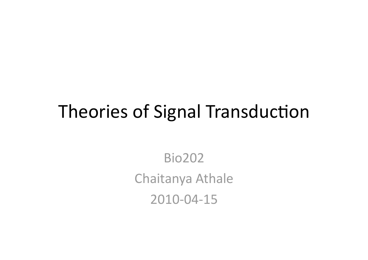### Theories of Signal Transduction

Bio202 Chaitanya Athale 2010‐04‐15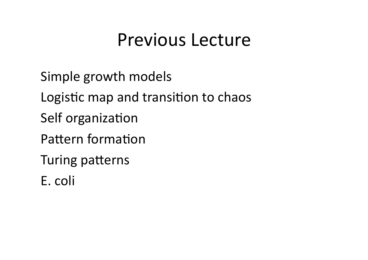### Previous Lecture

Simple growth models Logistic map and transition to chaos Self organization Pattern formation Turing patterns

E. coli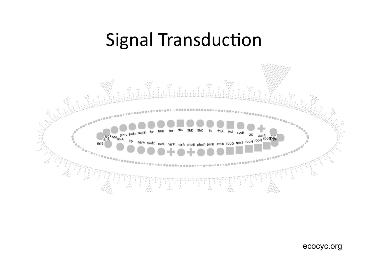### Signal Transduction



ecocyc.org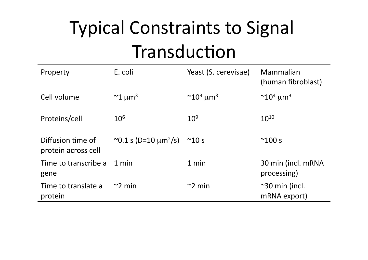# Typical Constraints to Signal Transduction

| Property                                 | E. coli                               | Yeast (S. cerevisae)                   | Mammalian<br>(human fibroblast)        |
|------------------------------------------|---------------------------------------|----------------------------------------|----------------------------------------|
| Cell volume                              | $\approx$ 1 µm <sup>3</sup>           | $\sim$ 10 <sup>3</sup> µm <sup>3</sup> | $\sim$ 10 <sup>4</sup> µm <sup>3</sup> |
| Proteins/cell                            | $10^{6}$                              | 10 <sup>9</sup>                        | $10^{10}$                              |
| Diffusion time of<br>protein across cell | ~0.1 s (D=10 $\mu$ m <sup>2</sup> /s) | $^{\sim}10 s$                          | $^{\sim}100 s$                         |
| Time to transcribe a<br>gene             | 1 min                                 | 1 min                                  | 30 min (incl. mRNA<br>processing)      |
| Time to translate a<br>protein           | $\approx$ 2 min                       | $\approx$ 2 min                        | $\sim$ 30 min (incl.<br>mRNA export)   |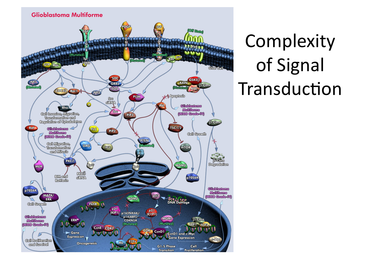

Complexity of Signal Transduction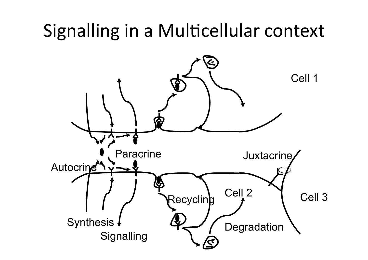# Signalling in a Multicellular context

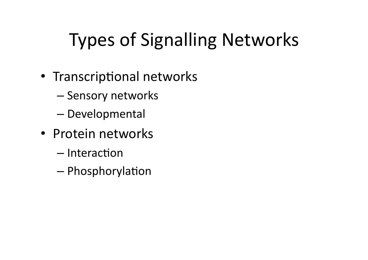# Types of Signalling Networks

- Transcriptional networks
	- Sensory networks
	- Developmental
- Protein networks
	- $-$ Interaction
	- $-$  Phosphorylation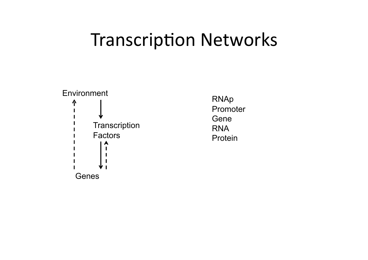### Transcription Networks



RNAp Promoter Gene RNA Protein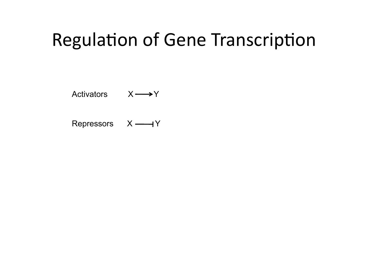## Regulation of Gene Transcription

Activators  $X \longrightarrow Y$ 

Repressors  $X \longrightarrow Y$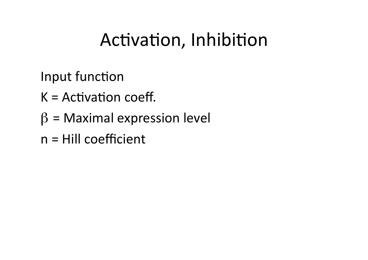## Activation, Inhibition

Input function

- $K =$  Activation coeff.
- $\beta$  = Maximal expression level
- n = Hill coefficient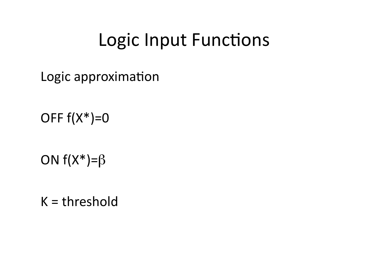### Logic Input Functions

Logic approximation

OFF  $f(X^*)=0$ 

ON  $f(X^*)= \beta$ 

 $K =$ threshold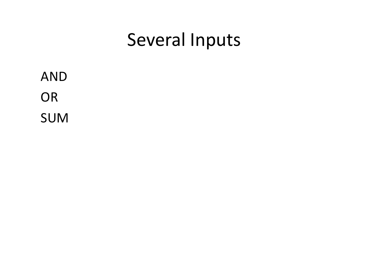### Several Inputs

AND OR SUM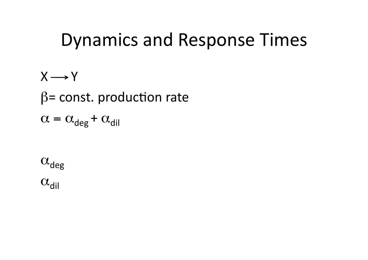### Dynamics and Response Times

 $X \rightarrow Y$  $\beta$ = const. production rate  $\alpha = \alpha_{\text{deg}} + \alpha_{\text{dil}}$ 

 $\alpha_{\text{deg}}$ 

 $\alpha_{\text{dil}}$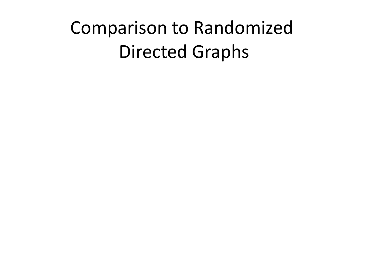# Comparison to Randomized Directed Graphs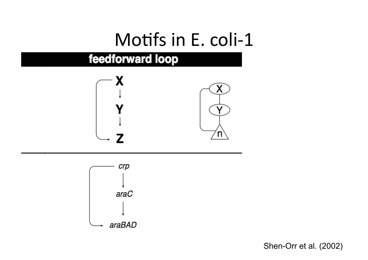### Motifs in E. coli-1

#### feedforward loop





Shen-Orr et al. (2002)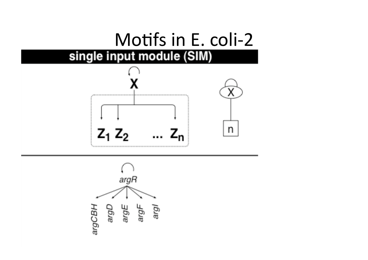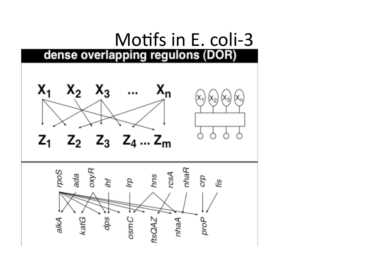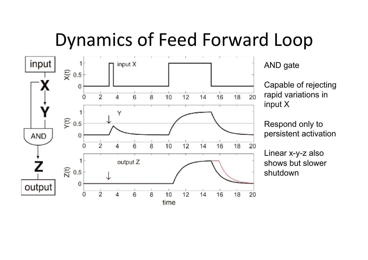### Dynamics of Feed Forward Loop



AND gate

Capable of rejecting rapid variations in input X

Respond only to persistent activation

Linear x-y-z also shows but slower shutdown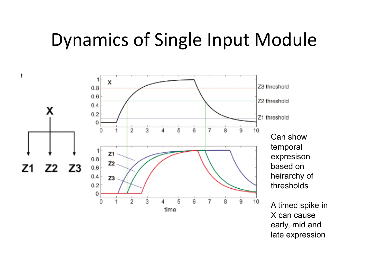### Dynamics of Single Input Module

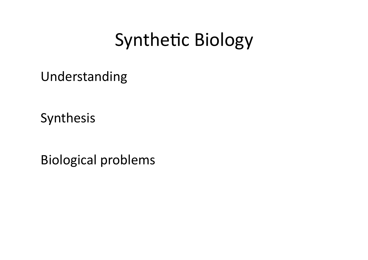## Synthetic Biology

Understanding

Synthesis

Biological problems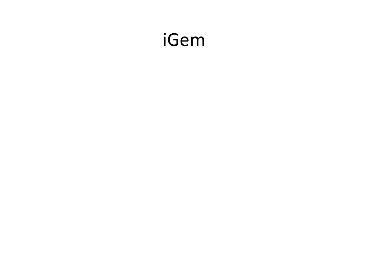### iGem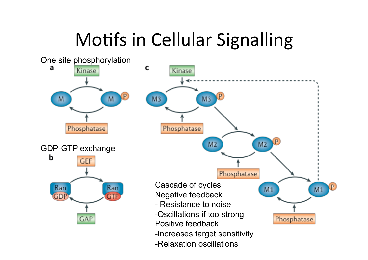# Motifs in Cellular Signalling

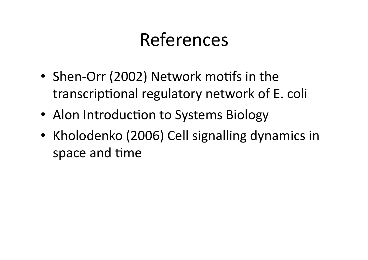# References

- Shen-Orr (2002) Network motifs in the transcriptional regulatory network of E. coli
- Alon Introduction to Systems Biology
- Kholodenko (2006) Cell signalling dynamics in space and time